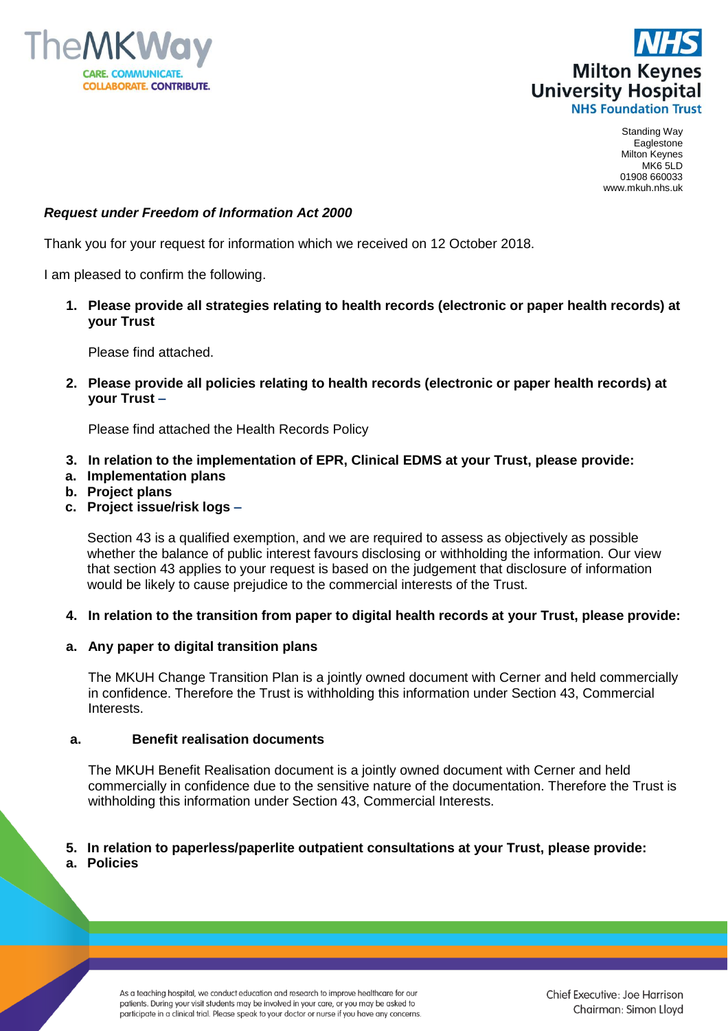



# *Request under Freedom of Information Act 2000*

Thank you for your request for information which we received on 12 October 2018.

I am pleased to confirm the following.

**1. Please provide all strategies relating to health records (electronic or paper health records) at your Trust**

Please find attached.

**2. Please provide all policies relating to health records (electronic or paper health records) at your Trust –**

Please find attached the Health Records Policy

- **3. In relation to the implementation of EPR, Clinical EDMS at your Trust, please provide:**
- **a. Implementation plans**
- **b. Project plans**
- **c. Project issue/risk logs –**

Section 43 is a qualified exemption, and we are required to assess as objectively as possible whether the balance of public interest favours disclosing or withholding the information. Our view that section 43 applies to your request is based on the judgement that disclosure of information would be likely to cause prejudice to the commercial interests of the Trust.

**4. In relation to the transition from paper to digital health records at your Trust, please provide:** 

## **a. Any paper to digital transition plans**

The MKUH Change Transition Plan is a jointly owned document with Cerner and held commercially in confidence. Therefore the Trust is withholding this information under Section 43, Commercial Interests.

#### **a. Benefit realisation documents**

The MKUH Benefit Realisation document is a jointly owned document with Cerner and held commercially in confidence due to the sensitive nature of the documentation. Therefore the Trust is withholding this information under Section 43, Commercial Interests.

#### **5. In relation to paperless/paperlite outpatient consultations at your Trust, please provide: a. Policies**

As a teaching hospital, we conduct education and research to improve healthcare for our patients. During your visit students may be involved in your care, or you may be asked to participate in a clinical trial. Please speak to your doctor or nurse if you have any concerns. Chief Executive: Joe Harrison Chairman: Simon Lloyd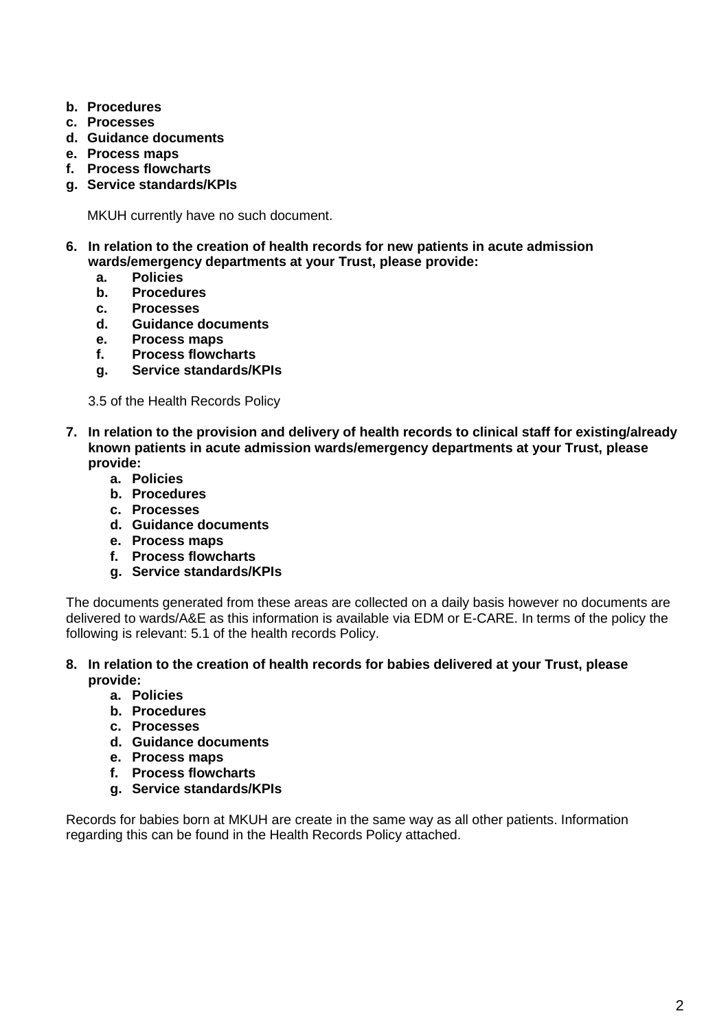- **b. Procedures**
- **c. Processes**
- **d. Guidance documents**
- **e. Process maps**
- **f. Process flowcharts**
- **g. Service standards/KPIs**

MKUH currently have no such document.

- **6. In relation to the creation of health records for new patients in acute admission wards/emergency departments at your Trust, please provide:** 
	- **a. Policies**
	- **b. Procedures**
	- **c. Processes**
	- **d. Guidance documents**
	- **e. Process maps**
	- **f. Process flowcharts**
	- **g. Service standards/KPIs**

3.5 of the Health Records Policy

- **7. In relation to the provision and delivery of health records to clinical staff for existing/already known patients in acute admission wards/emergency departments at your Trust, please provide:**
	- **a. Policies**
	- **b. Procedures**
	- **c. Processes**
	- **d. Guidance documents**
	- **e. Process maps**
	- **f. Process flowcharts**
	- **g. Service standards/KPIs**

The documents generated from these areas are collected on a daily basis however no documents are delivered to wards/A&E as this information is available via EDM or E-CARE. In terms of the policy the following is relevant: 5.1 of the health records Policy.

- **8. In relation to the creation of health records for babies delivered at your Trust, please provide:**
	- **a. Policies**
	- **b. Procedures**
	- **c. Processes**
	- **d. Guidance documents**
	- **e. Process maps**
	- **f. Process flowcharts**
	- **g. Service standards/KPIs**

Records for babies born at MKUH are create in the same way as all other patients. Information regarding this can be found in the Health Records Policy attached.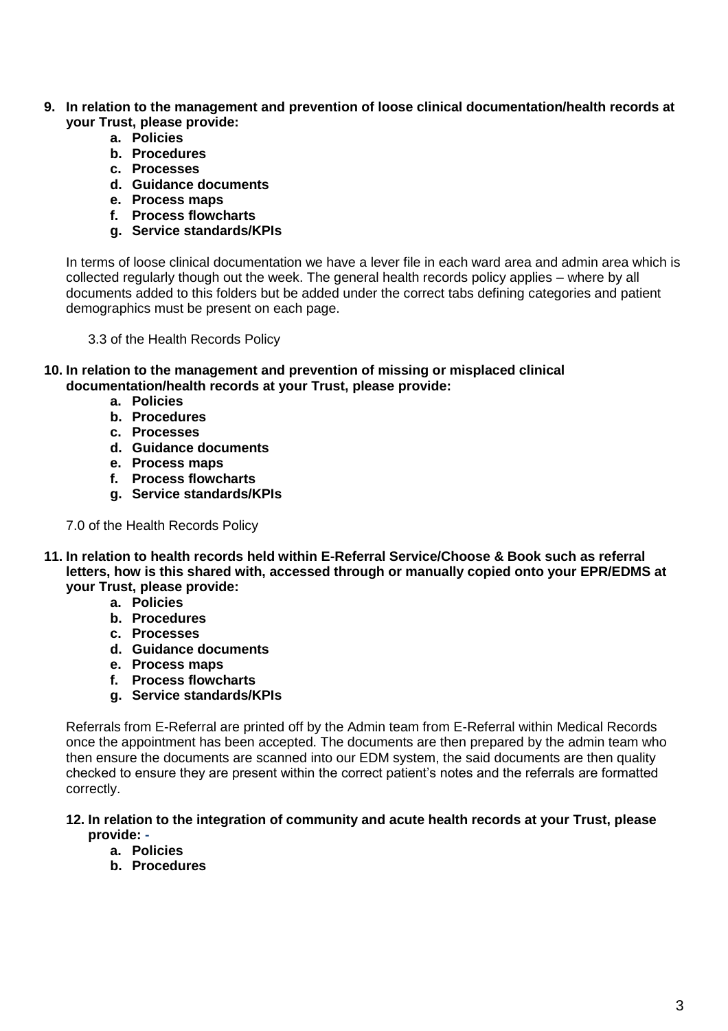- **9. In relation to the management and prevention of loose clinical documentation/health records at your Trust, please provide:**
	- **a. Policies**
	- **b. Procedures**
	- **c. Processes**
	- **d. Guidance documents**
	- **e. Process maps**
	- **f. Process flowcharts**
	- **g. Service standards/KPIs**

In terms of loose clinical documentation we have a lever file in each ward area and admin area which is collected regularly though out the week. The general health records policy applies – where by all documents added to this folders but be added under the correct tabs defining categories and patient demographics must be present on each page.

3.3 of the Health Records Policy

- **10. In relation to the management and prevention of missing or misplaced clinical documentation/health records at your Trust, please provide:**
	- **a. Policies**
	- **b. Procedures**
	- **c. Processes**
	- **d. Guidance documents**
	- **e. Process maps**
	- **f. Process flowcharts**
	- **g. Service standards/KPIs**
	- 7.0 of the Health Records Policy
- **11. In relation to health records held within E-Referral Service/Choose & Book such as referral letters, how is this shared with, accessed through or manually copied onto your EPR/EDMS at your Trust, please provide:** 
	- **a. Policies**
	- **b. Procedures**
	- **c. Processes**
	- **d. Guidance documents**
	- **e. Process maps**
	- **f. Process flowcharts**
	- **g. Service standards/KPIs**

Referrals from E-Referral are printed off by the Admin team from E-Referral within Medical Records once the appointment has been accepted. The documents are then prepared by the admin team who then ensure the documents are scanned into our EDM system, the said documents are then quality checked to ensure they are present within the correct patient's notes and the referrals are formatted correctly.

### **12. In relation to the integration of community and acute health records at your Trust, please provide: -**

- **a. Policies**
- **b. Procedures**